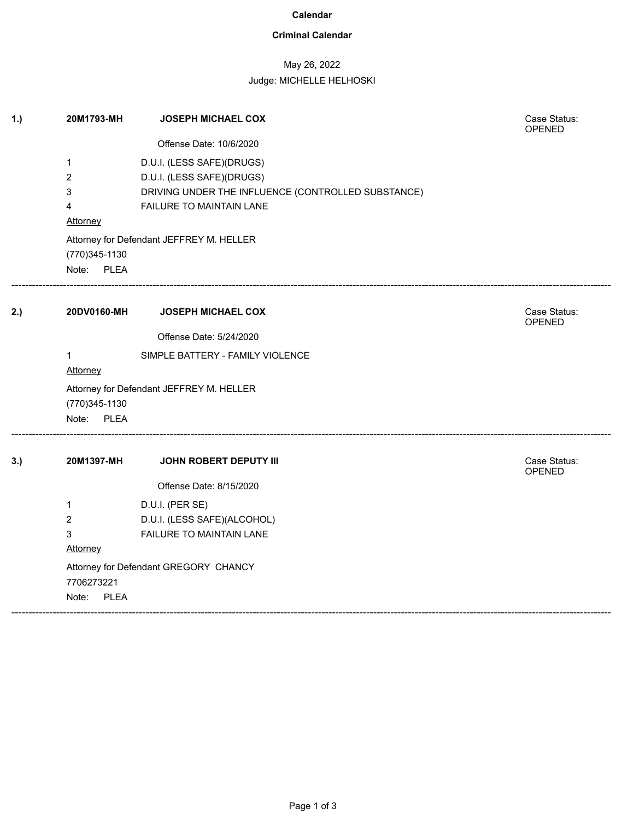### **Calendar**

## **Criminal Calendar**

# May 26, 2022

### Judge: MICHELLE HELHOSKI

| 1.) | 20M1793-MH                                | <b>JOSEPH MICHAEL COX</b>                                                                                                                | Case Status:<br>OPENED |  |  |
|-----|-------------------------------------------|------------------------------------------------------------------------------------------------------------------------------------------|------------------------|--|--|
|     |                                           | Offense Date: 10/6/2020                                                                                                                  |                        |  |  |
|     | 1<br>$\overline{c}$<br>3<br>4<br>Attorney | D.U.I. (LESS SAFE)(DRUGS)<br>D.U.I. (LESS SAFE)(DRUGS)<br>DRIVING UNDER THE INFLUENCE (CONTROLLED SUBSTANCE)<br>FAILURE TO MAINTAIN LANE |                        |  |  |
|     | (770) 345-1130<br>Note: PLEA              | Attorney for Defendant JEFFREY M. HELLER                                                                                                 |                        |  |  |
| 2.) | 20DV0160-MH                               | <b>JOSEPH MICHAEL COX</b>                                                                                                                | Case Status:<br>OPENED |  |  |
|     |                                           | Offense Date: 5/24/2020                                                                                                                  |                        |  |  |
|     | 1<br>Attorney                             | SIMPLE BATTERY - FAMILY VIOLENCE                                                                                                         |                        |  |  |
|     | Attorney for Defendant JEFFREY M. HELLER  |                                                                                                                                          |                        |  |  |
|     | (770) 345-1130                            |                                                                                                                                          |                        |  |  |
|     | Note: PLEA                                |                                                                                                                                          |                        |  |  |
| 3.) | 20M1397-MH                                | <b>JOHN ROBERT DEPUTY III</b>                                                                                                            | Case Status:<br>OPENED |  |  |
|     |                                           | Offense Date: 8/15/2020                                                                                                                  |                        |  |  |
|     | 1<br>$\overline{2}$<br>3<br>Attorney      | D.U.I. (PER SE)<br>D.U.I. (LESS SAFE)(ALCOHOL)<br>FAILURE TO MAINTAIN LANE                                                               |                        |  |  |
|     | 7706273221<br>Note:<br><b>PLEA</b>        | Attorney for Defendant GREGORY CHANCY                                                                                                    |                        |  |  |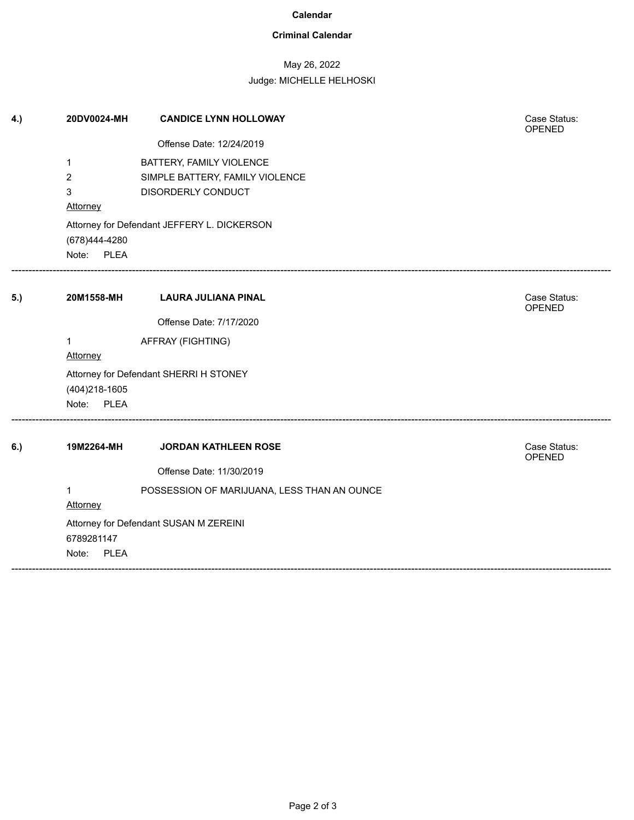#### **Calendar**

## **Criminal Calendar**

# May 26, 2022

### Judge: MICHELLE HELHOSKI

| 4.) | 20DV0024-MH                                 | <b>CANDICE LYNN HOLLOWAY</b>                | Case Status:<br>OPENED        |  |  |
|-----|---------------------------------------------|---------------------------------------------|-------------------------------|--|--|
|     |                                             | Offense Date: 12/24/2019                    |                               |  |  |
|     | 1                                           | BATTERY, FAMILY VIOLENCE                    |                               |  |  |
|     | 2                                           | SIMPLE BATTERY, FAMILY VIOLENCE             |                               |  |  |
|     | 3                                           | DISORDERLY CONDUCT                          |                               |  |  |
|     | Attorney                                    |                                             |                               |  |  |
|     | Attorney for Defendant JEFFERY L. DICKERSON |                                             |                               |  |  |
|     | (678)444-4280                               |                                             |                               |  |  |
|     | Note: PLEA                                  |                                             |                               |  |  |
| 5.) | 20M1558-MH                                  | <b>LAURA JULIANA PINAL</b>                  | Case Status:<br><b>OPENED</b> |  |  |
|     |                                             | Offense Date: 7/17/2020                     |                               |  |  |
|     | 1                                           | AFFRAY (FIGHTING)                           |                               |  |  |
|     | Attorney                                    |                                             |                               |  |  |
|     | Attorney for Defendant SHERRI H STONEY      |                                             |                               |  |  |
|     | (404) 218-1605                              |                                             |                               |  |  |
|     | Note:<br><b>PLEA</b>                        |                                             |                               |  |  |
| 6.) | 19M2264-MH                                  | <b>JORDAN KATHLEEN ROSE</b>                 | Case Status:<br>OPENED        |  |  |
|     |                                             | Offense Date: 11/30/2019                    |                               |  |  |
|     | $\mathbf{1}$                                | POSSESSION OF MARIJUANA, LESS THAN AN OUNCE |                               |  |  |
|     | <b>Attorney</b>                             |                                             |                               |  |  |
|     | Attorney for Defendant SUSAN M ZEREINI      |                                             |                               |  |  |
|     | 6789281147                                  |                                             |                               |  |  |
|     | <b>PLEA</b><br>Note:                        |                                             |                               |  |  |

------------------------------------------------------------------------------------------------------------------------------------------------------------------------------